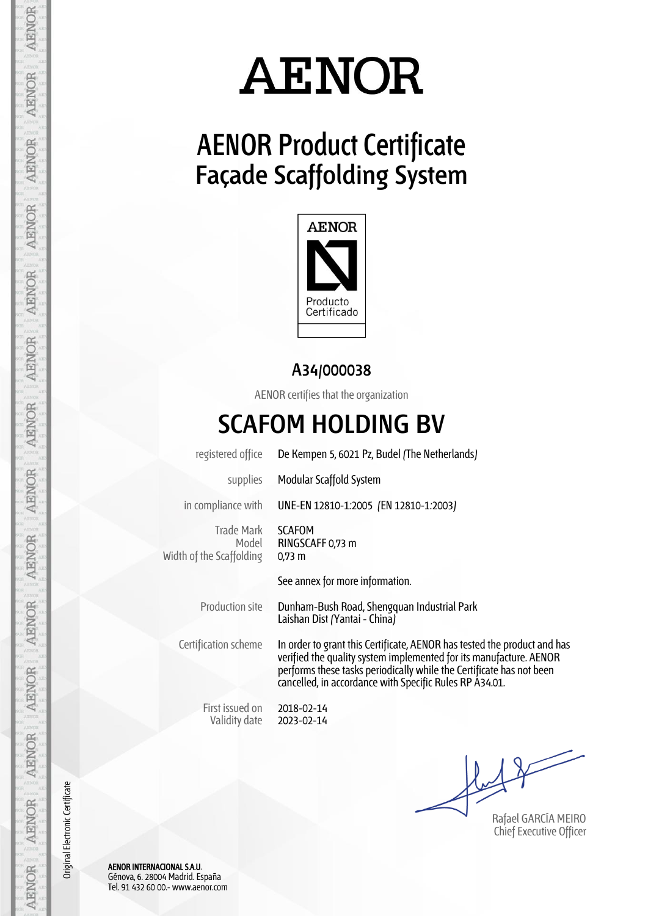### **AENOR Product Certificate Façade Scaffolding System**



#### **A34/000038**

AENOR certifies that the organization

#### **SCAFOM HOLDING BV**

registered office De Kempen 5, 6021 Pz, Budel (The Netherlands)

supplies Modular Scaffold System

in compliance with UNE-EN 12810-1:2005 (EN 12810-1:2003)

Trade Mark Model Width of the Scaffolding

SCAFOM RINGSCAFF 0,73 m 0,73 m

See annex for more information.

Production site Dunham-Bush Road, Shengquan Industrial Park Laishan Dist (Yantai - China)

Certification scheme In order to grant this Certificate, AENOR has tested the product and has verified the quality system implemented for its manufacture. AENOR performs these tasks periodically while the Certificate has not been cancelled, in accordance with Specific Rules RP A34.01.

First issued on Validity date

2018-02-14 2023-02-14

Rafael GARCÍA MEIRO Chief Executive Officer

AENOR INTERNACIONAL S.A.U. Génova, 6. 28004 Madrid. España Tel. 91 432 60 00.- www.aenor.com

Original Electronic Certificate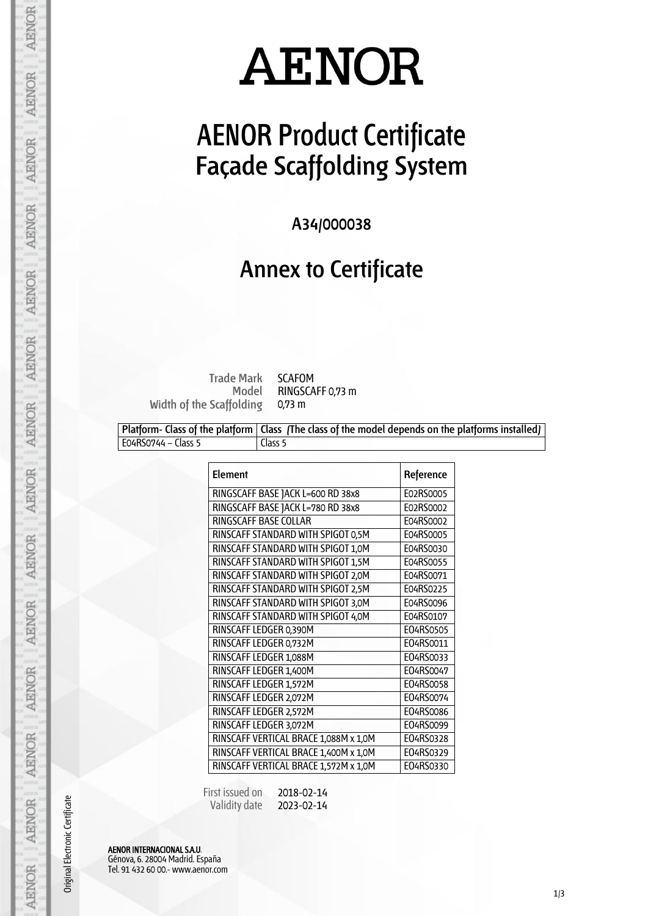### **AENOR Product Certificate Façade Scaffolding System**

**A34/000038**

#### **Annex to Certificate**

**Trade Mark Model** SCAFOM RINGSCAFF 0,73 m 0,73 m

**Width of the Scaffolding**

**Platform- Class of the platform Class (The class of the model depends on the platforms installed)** E04RS0744 – Class 5 Class 5

| <b>Element</b>                        | Reference |
|---------------------------------------|-----------|
| RINGSCAFF BASE JACK L=600 RD 38x8     | E02RS0005 |
| RINGSCAFF BASE JACK L=780 RD 38x8     | E02RS0002 |
| <b>RINGSCAFF BASE COLLAR</b>          | E04RS0002 |
| RINSCAFF STANDARD WITH SPIGOT 0,5M    | E04RS0005 |
| RINSCAFF STANDARD WITH SPIGOT 1,0M    | E04RS0030 |
| RINSCAFF STANDARD WITH SPIGOT 1,5M    | E04RS0055 |
| RINSCAFF STANDARD WITH SPIGOT 2,0M    | E04RS0071 |
| RINSCAFF STANDARD WITH SPIGOT 2,5M    | E04RS0225 |
| RINSCAFF STANDARD WITH SPIGOT 3,0M    | E04RS0096 |
| RINSCAFF STANDARD WITH SPIGOT 4,0M    | E04RS0107 |
| RINSCAFF LEDGER 0,390M                | E04RS0505 |
| RINSCAFF LEDGER 0,732M                | E04RS0011 |
| RINSCAFF LEDGER 1,088M                | E04RS0033 |
| RINSCAFF LEDGER 1,400M                | E04RS0047 |
| RINSCAFF LEDGER 1,572M                | E04RS0058 |
| RINSCAFF LEDGER 2,072M                | E04RS0074 |
| RINSCAFF LEDGER 2,572M                | E04RS0086 |
| RINSCAFF LEDGER 3,072M                | E04RS0099 |
| RINSCAFF VERTICAL BRACE 1,088M x 1,0M | E04RS0328 |
| RINSCAFF VERTICAL BRACE 1,400M x 1,0M | E04RS0329 |
| RINSCAFF VERTICAL BRACE 1,572M x 1,0M | E04RS0330 |

 First issued on Validity date 2018-02-14 2023-02-14

AENOR INTERNACIONAL S.A.U. Génova, 6. 28004 Madrid. España Tel. 91 432 60 00.- www.aenor.com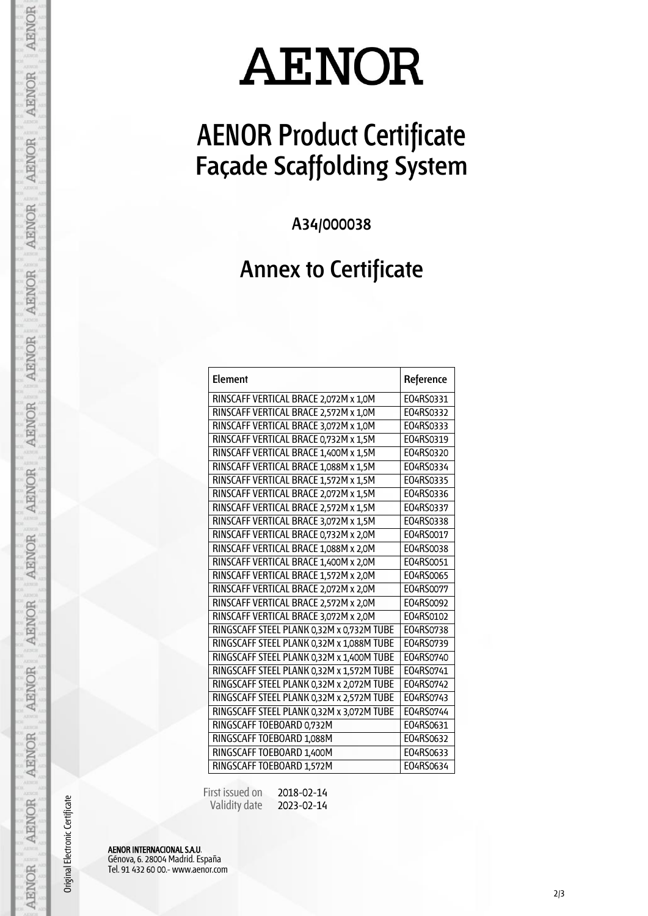## **AENOR Product Certificate Façade Scaffolding System**

**A34/000038**

#### **Annex to Certificate**

| Element                                   | Reference |
|-------------------------------------------|-----------|
| RINSCAFF VERTICAL BRACE 2,072M x 1,0M     | E04RS0331 |
| RINSCAFF VERTICAL BRACE 2,572M x 1,0M     | E04RS0332 |
| RINSCAFF VERTICAL BRACE 3,072M x 1,0M     | E04RS0333 |
| RINSCAFF VERTICAL BRACE 0,732M x 1,5M     | E04RS0319 |
| RINSCAFF VERTICAL BRACE 1,400M x 1,5M     | E04RS0320 |
| RINSCAFF VERTICAL BRACE 1,088M x 1,5M     | E04RS0334 |
| RINSCAFF VERTICAL BRACE 1,572M x 1,5M     | E04RS0335 |
| RINSCAFF VERTICAL BRACE 2,072M x 1,5M     | E04RS0336 |
| RINSCAFF VERTICAL BRACE 2,572M x 1,5M     | E04RS0337 |
| RINSCAFF VERTICAL BRACE 3,072M x 1,5M     | E04RS0338 |
| RINSCAFF VERTICAL BRACE 0,732M x 2,0M     | E04RS0017 |
| RINSCAFF VERTICAL BRACE 1,088M x 2,0M     | E04RS0038 |
| RINSCAFF VERTICAL BRACE 1,400M x 2,0M     | E04RS0051 |
| RINSCAFF VERTICAL BRACE 1,572M x 2,0M     | E04RS0065 |
| RINSCAFF VERTICAL BRACE 2,072M x 2,0M     | E04RS0077 |
| RINSCAFF VERTICAL BRACE 2,572M x 2,0M     | E04RS0092 |
| RINSCAFF VERTICAL BRACE 3,072M x 2,0M     | E04RS0102 |
| RINGSCAFF STEEL PLANK 0,32M x 0,732M TUBE | E04RS0738 |
| RINGSCAFF STEEL PLANK 0,32M x 1,088M TUBE | E04RS0739 |
| RINGSCAFF STEEL PLANK 0,32M x 1,400M TUBE | E04RS0740 |
| RINGSCAFF STEEL PLANK 0,32M x 1,572M TUBE | E04RS0741 |
| RINGSCAFF STEEL PLANK 0,32M x 2,072M TUBE | E04RS0742 |
| RINGSCAFF STEEL PLANK 0,32M x 2,572M TUBE | E04RS0743 |
| RINGSCAFF STEEL PLANK 0,32M x 3,072M TUBE | E04RS0744 |
| RINGSCAFF TOEBOARD 0,732M                 | E04RS0631 |
| RINGSCAFF TOEBOARD 1,088M                 | E04RS0632 |
| RINGSCAFF TOEBOARD 1,400M                 | E04RS0633 |
| RINGSCAFF TOEBOARD 1,572M                 | E04RS0634 |

 First issued on Validity date 2018-02-14 2023-02-14

AENOR INTERNACIONAL S.A.U. Génova, 6. 28004 Madrid. España Tel. 91 432 60 00.- www.aenor.com